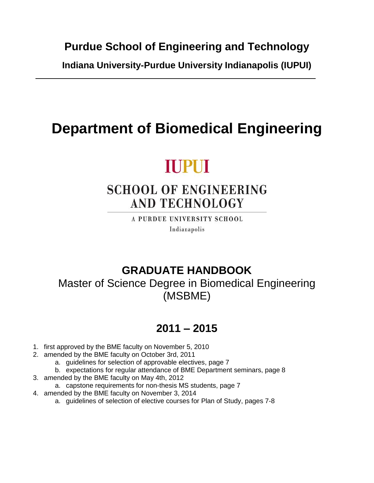**Purdue School of Engineering and Technology**

**Indiana University-Purdue University Indianapolis (IUPUI)**

# **Department of Biomedical Engineering**

# **TUPUT**

# **SCHOOL OF ENGINEERING AND TECHNOLOGY**

A PURDUE UNIVERSITY SCHOOL Indianapolis

### **GRADUATE HANDBOOK**

Master of Science Degree in Biomedical Engineering (MSBME)

## **2011 – 2015**

- 1. first approved by the BME faculty on November 5, 2010
- 2. amended by the BME faculty on October 3rd, 2011
	- a. guidelines for selection of approvable electives, page 7
	- b. expectations for regular attendance of BME Department seminars, page 8
- 3. amended by the BME faculty on May 4th, 2012
	- a. capstone requirements for non-thesis MS students, page 7
- 4. amended by the BME faculty on November 3, 2014
	- a. guidelines of selection of elective courses for Plan of Study, pages 7-8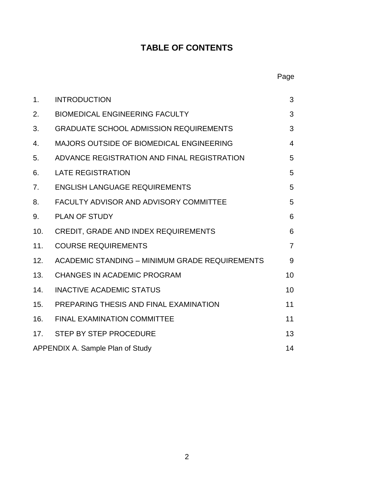### **TABLE OF CONTENTS**

### Page

| 1 <sub>1</sub>                         | <b>INTRODUCTION</b>                            | 3              |
|----------------------------------------|------------------------------------------------|----------------|
| 2.                                     | <b>BIOMEDICAL ENGINEERING FACULTY</b>          | 3              |
| 3.                                     | <b>GRADUATE SCHOOL ADMISSION REQUIREMENTS</b>  | 3              |
| 4.                                     | MAJORS OUTSIDE OF BIOMEDICAL ENGINEERING       | 4              |
| 5.                                     | ADVANCE REGISTRATION AND FINAL REGISTRATION    | 5              |
| 6.                                     | <b>LATE REGISTRATION</b>                       | 5              |
| 7.                                     | <b>ENGLISH LANGUAGE REQUIREMENTS</b>           | 5              |
| 8.                                     | <b>FACULTY ADVISOR AND ADVISORY COMMITTEE</b>  | 5              |
| 9.                                     | <b>PLAN OF STUDY</b>                           | 6              |
| 10.                                    | <b>CREDIT, GRADE AND INDEX REQUIREMENTS</b>    | 6              |
| 11.                                    | <b>COURSE REQUIREMENTS</b>                     | $\overline{7}$ |
| 12.                                    | ACADEMIC STANDING - MINIMUM GRADE REQUIREMENTS | 9              |
| 13.                                    | <b>CHANGES IN ACADEMIC PROGRAM</b>             | 10             |
| 14.                                    | <b>INACTIVE ACADEMIC STATUS</b>                | 10             |
| 15.                                    | PREPARING THESIS AND FINAL EXAMINATION         | 11             |
| 16.                                    | <b>FINAL EXAMINATION COMMITTEE</b>             | 11             |
|                                        | 17. STEP BY STEP PROCEDURE                     | 13             |
| 14<br>APPENDIX A. Sample Plan of Study |                                                |                |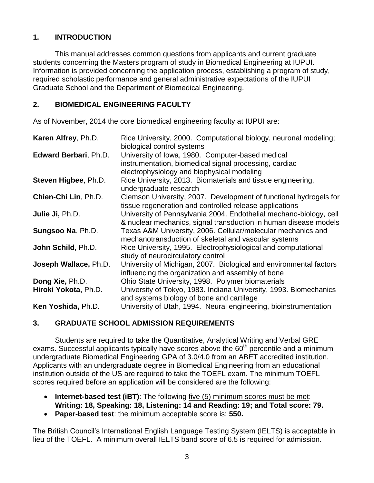#### **1. INTRODUCTION**

This manual addresses common questions from applicants and current graduate students concerning the Masters program of study in Biomedical Engineering at IUPUI. Information is provided concerning the application process, establishing a program of study, required scholastic performance and general administrative expectations of the IUPUI Graduate School and the Department of Biomedical Engineering.

#### **2. BIOMEDICAL ENGINEERING FACULTY**

As of November, 2014 the core biomedical engineering faculty at IUPUI are:

| Karen Alfrey, Ph.D.   | Rice University, 2000. Computational biology, neuronal modeling;<br>biological control systems                                                           |
|-----------------------|----------------------------------------------------------------------------------------------------------------------------------------------------------|
| Edward Berbari, Ph.D. | University of Iowa, 1980. Computer-based medical<br>instrumentation, biomedical signal processing, cardiac<br>electrophysiology and biophysical modeling |
| Steven Higbee, Ph.D.  | Rice University, 2013. Biomaterials and tissue engineering,<br>undergraduate research                                                                    |
| Chien-Chi Lin, Ph.D.  | Clemson University, 2007. Development of functional hydrogels for<br>tissue regeneration and controlled release applications                             |
| Julie Ji, Ph.D.       | University of Pennsylvania 2004. Endothelial mechano-biology, cell<br>& nuclear mechanics, signal transduction in human disease models                   |
| Sungsoo Na, Ph.D.     | Texas A&M University, 2006. Cellular/molecular mechanics and<br>mechanotransduction of skeletal and vascular systems                                     |
| John Schild, Ph.D.    | Rice University, 1995. Electrophysiological and computational<br>study of neurocirculatory control                                                       |
| Joseph Wallace, Ph.D. | University of Michigan, 2007. Biological and environmental factors<br>influencing the organization and assembly of bone                                  |
| Dong Xie, Ph.D.       | Ohio State University, 1998. Polymer biomaterials                                                                                                        |
| Hiroki Yokota, Ph.D.  | University of Tokyo, 1983. Indiana University, 1993. Biomechanics<br>and systems biology of bone and cartilage                                           |
| Ken Yoshida, Ph.D.    | University of Utah, 1994. Neural engineering, bioinstrumentation                                                                                         |

#### **3. GRADUATE SCHOOL ADMISSION REQUIREMENTS**

Students are required to take the Quantitative, Analytical Writing and Verbal GRE exams. Successful applicants typically have scores above the  $60<sup>th</sup>$  percentile and a minimum undergraduate Biomedical Engineering GPA of 3.0/4.0 from an ABET accredited institution. Applicants with an undergraduate degree in Biomedical Engineering from an educational institution outside of the US are required to take the TOEFL exam. The minimum TOEFL scores required before an application will be considered are the following:

- **Internet-based test (iBT)**: The following five (5) minimum scores must be met: **Writing: 18, Speaking: 18, Listening: 14 and Reading: 19; and Total score: 79.**
- **Paper-based test**: the minimum acceptable score is: **550.**

The British Council's International English Language Testing System (IELTS) is acceptable in lieu of the TOEFL. A minimum overall IELTS band score of 6.5 is required for admission.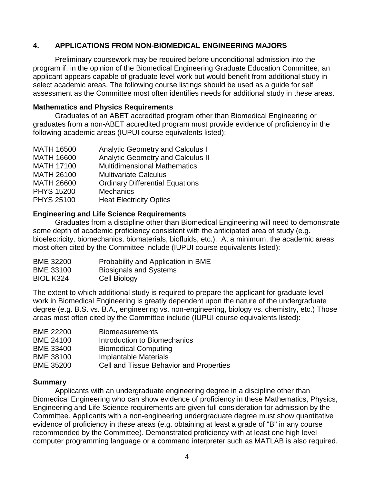#### **4. APPLICATIONS FROM NON-BIOMEDICAL ENGINEERING MAJORS**

Preliminary coursework may be required before unconditional admission into the program if, in the opinion of the Biomedical Engineering Graduate Education Committee, an applicant appears capable of graduate level work but would benefit from additional study in select academic areas. The following course listings should be used as a guide for self assessment as the Committee most often identifies needs for additional study in these areas.

#### **Mathematics and Physics Requirements**

Graduates of an ABET accredited program other than Biomedical Engineering or graduates from a non-ABET accredited program must provide evidence of proficiency in the following academic areas (IUPUI course equivalents listed):

| <b>MATH 16500</b> | <b>Analytic Geometry and Calculus I</b>  |
|-------------------|------------------------------------------|
| <b>MATH 16600</b> | <b>Analytic Geometry and Calculus II</b> |
| <b>MATH 17100</b> | <b>Multidimensional Mathematics</b>      |
| <b>MATH 26100</b> | <b>Multivariate Calculus</b>             |
| <b>MATH 26600</b> | <b>Ordinary Differential Equations</b>   |
| <b>PHYS 15200</b> | <b>Mechanics</b>                         |
| <b>PHYS 25100</b> | <b>Heat Electricity Optics</b>           |

#### **Engineering and Life Science Requirements**

Graduates from a discipline other than Biomedical Engineering will need to demonstrate some depth of academic proficiency consistent with the anticipated area of study (e.g. bioelectricity, biomechanics, biomaterials, biofluids, etc.). At a minimum, the academic areas most often cited by the Committee include (IUPUI course equivalents listed):

| <b>BME 32200</b> | Probability and Application in BME |
|------------------|------------------------------------|
| <b>BME 33100</b> | <b>Biosignals and Systems</b>      |
| BIOL K324        | Cell Biology                       |

The extent to which additional study is required to prepare the applicant for graduate level work in Biomedical Engineering is greatly dependent upon the nature of the undergraduate degree (e.g. B.S. vs. B.A., engineering vs. non-engineering, biology vs. chemistry, etc.) Those areas most often cited by the Committee include (IUPUI course equivalents listed):

| <b>BME 22200</b> | <b>Biomeasurements</b>                         |
|------------------|------------------------------------------------|
| <b>BME 24100</b> | Introduction to Biomechanics                   |
| <b>BME 33400</b> | <b>Biomedical Computing</b>                    |
| <b>BME 38100</b> | Implantable Materials                          |
| <b>BME 35200</b> | <b>Cell and Tissue Behavior and Properties</b> |

#### **Summary**

Applicants with an undergraduate engineering degree in a discipline other than Biomedical Engineering who can show evidence of proficiency in these Mathematics, Physics, Engineering and Life Science requirements are given full consideration for admission by the Committee. Applicants with a non-engineering undergraduate degree must show quantitative evidence of proficiency in these areas (e.g. obtaining at least a grade of "B" in any course recommended by the Committee). Demonstrated proficiency with at least one high level computer programming language or a command interpreter such as MATLAB is also required.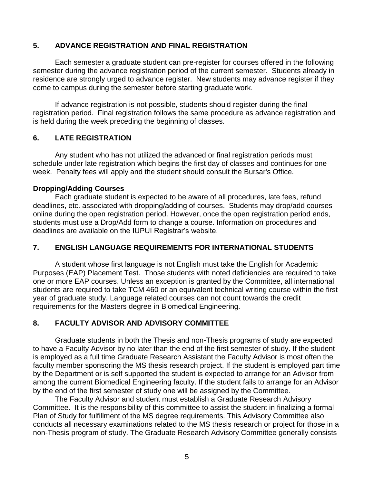#### **5. ADVANCE REGISTRATION AND FINAL REGISTRATION**

Each semester a graduate student can pre-register for courses offered in the following semester during the advance registration period of the current semester. Students already in residence are strongly urged to advance register. New students may advance register if they come to campus during the semester before starting graduate work.

If advance registration is not possible, students should register during the final registration period. Final registration follows the same procedure as advance registration and is held during the week preceding the beginning of classes.

#### **6. LATE REGISTRATION**

Any student who has not utilized the advanced or final registration periods must schedule under late registration which begins the first day of classes and continues for one week. Penalty fees will apply and the student should consult the Bursar's Office.

#### **Dropping/Adding Courses**

Each graduate student is expected to be aware of all procedures, late fees, refund deadlines, etc. associated with dropping/adding of courses. Students may drop/add courses online during the open registration period. However, once the open registration period ends, students must use a Drop/Add form to change a course. Information on procedures and deadlines are available on the IUPUI Registrar's website.

#### **7. ENGLISH LANGUAGE REQUIREMENTS FOR INTERNATIONAL STUDENTS**

A student whose first language is not English must take the English for Academic Purposes (EAP) Placement Test. Those students with noted deficiencies are required to take one or more EAP courses. Unless an exception is granted by the Committee, all international students are required to take TCM 460 or an equivalent technical writing course within the first year of graduate study. Language related courses can not count towards the credit requirements for the Masters degree in Biomedical Engineering.

#### **8. FACULTY ADVISOR AND ADVISORY COMMITTEE**

Graduate students in both the Thesis and non-Thesis programs of study are expected to have a Faculty Advisor by no later than the end of the first semester of study. If the student is employed as a full time Graduate Research Assistant the Faculty Advisor is most often the faculty member sponsoring the MS thesis research project. If the student is employed part time by the Department or is self supported the student is expected to arrange for an Advisor from among the current Biomedical Engineering faculty. If the student fails to arrange for an Advisor by the end of the first semester of study one will be assigned by the Committee.

The Faculty Advisor and student must establish a Graduate Research Advisory Committee. It is the responsibility of this committee to assist the student in finalizing a formal Plan of Study for fulfillment of the MS degree requirements. This Advisory Committee also conducts all necessary examinations related to the MS thesis research or project for those in a non-Thesis program of study. The Graduate Research Advisory Committee generally consists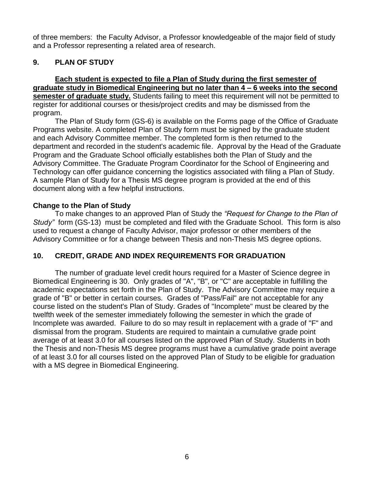of three members: the Faculty Advisor, a Professor knowledgeable of the major field of study and a Professor representing a related area of research.

#### **9. PLAN OF STUDY**

#### **Each student is expected to file a Plan of Study during the first semester of graduate study in Biomedical Engineering but no later than 4 – 6 weeks into the second semester of graduate study.** Students failing to meet this requirement will not be permitted to register for additional courses or thesis/project credits and may be dismissed from the program.

The Plan of Study form (GS-6) is available on the Forms page of the Office of Graduate Programs website. A completed Plan of Study form must be signed by the graduate student and each Advisory Committee member. The completed form is then returned to the department and recorded in the student's academic file. Approval by the Head of the Graduate Program and the Graduate School officially establishes both the Plan of Study and the Advisory Committee. The Graduate Program Coordinator for the School of Engineering and Technology can offer guidance concerning the logistics associated with filing a Plan of Study. A sample Plan of Study for a Thesis MS degree program is provided at the end of this document along with a few helpful instructions.

#### **Change to the Plan of Study**

To make changes to an approved Plan of Study the *"Request for Change to the Plan of Study"* form (GS-13) must be completed and filed with the Graduate School. This form is also used to request a change of Faculty Advisor, major professor or other members of the Advisory Committee or for a change between Thesis and non-Thesis MS degree options.

#### **10. CREDIT, GRADE AND INDEX REQUIREMENTS FOR GRADUATION**

The number of graduate level credit hours required for a Master of Science degree in Biomedical Engineering is 30. Only grades of "A", "B", or "C" are acceptable in fulfilling the academic expectations set forth in the Plan of Study. The Advisory Committee may require a grade of "B" or better in certain courses. Grades of "Pass/Fail" are not acceptable for any course listed on the student's Plan of Study. Grades of "Incomplete" must be cleared by the twelfth week of the semester immediately following the semester in which the grade of Incomplete was awarded. Failure to do so may result in replacement with a grade of "F" and dismissal from the program. Students are required to maintain a cumulative grade point average of at least 3.0 for all courses listed on the approved Plan of Study. Students in both the Thesis and non-Thesis MS degree programs must have a cumulative grade point average of at least 3.0 for all courses listed on the approved Plan of Study to be eligible for graduation with a MS degree in Biomedical Engineering.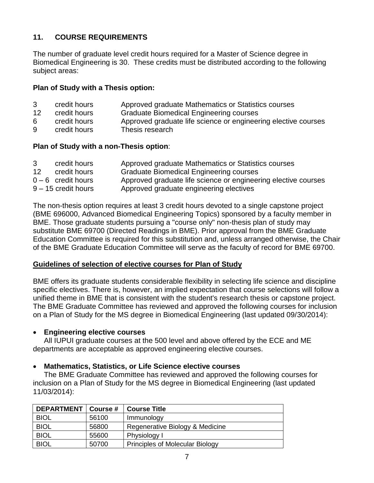#### **11. COURSE REQUIREMENTS**

The number of graduate level credit hours required for a Master of Science degree in Biomedical Engineering is 30. These credits must be distributed according to the following subject areas:

#### **Plan of Study with a Thesis option:**

- 3 credit hours Approved graduate Mathematics or Statistics courses
- 12 credit hours Graduate Biomedical Engineering courses
- 6 credit hours Approved graduate life science or engineering elective courses
- 9 credit hours Thesis research

#### **Plan of Study with a non-Thesis option**:

| 3  | credit hours         | Approved graduate Mathematics or Statistics courses            |
|----|----------------------|----------------------------------------------------------------|
| 12 | credit hours         | <b>Graduate Biomedical Engineering courses</b>                 |
|    | $0 - 6$ credit hours | Approved graduate life science or engineering elective courses |
|    | 9 – 15 credit hours  | Approved graduate engineering electives                        |

The non-thesis option requires at least 3 credit hours devoted to a single capstone project (BME 696000, Advanced Biomedical Engineering Topics) sponsored by a faculty member in BME. Those graduate students pursuing a "course only" non-thesis plan of study may substitute BME 69700 (Directed Readings in BME). Prior approval from the BME Graduate Education Committee is required for this substitution and, unless arranged otherwise, the Chair of the BME Graduate Education Committee will serve as the faculty of record for BME 69700.

#### **Guidelines of selection of elective courses for Plan of Study**

BME offers its graduate students considerable flexibility in selecting life science and discipline specific electives. There is, however, an implied expectation that course selections will follow a unified theme in BME that is consistent with the student's research thesis or capstone project. The BME Graduate Committee has reviewed and approved the following courses for inclusion on a Plan of Study for the MS degree in Biomedical Engineering (last updated 09/30/2014):

#### **Engineering elective courses**

All IUPUI graduate courses at the 500 level and above offered by the ECE and ME departments are acceptable as approved engineering elective courses.

#### **Mathematics, Statistics, or Life Science elective courses**

The BME Graduate Committee has reviewed and approved the following courses for inclusion on a Plan of Study for the MS degree in Biomedical Engineering (last updated 11/03/2014):

| <b>DEPARTMENT</b> | Course # | <b>Course Title</b>                    |
|-------------------|----------|----------------------------------------|
| <b>BIOL</b>       | 56100    | Immunology                             |
| <b>BIOL</b>       | 56800    | Regenerative Biology & Medicine        |
| <b>BIOL</b>       | 55600    | Physiology I                           |
| <b>BIOL</b>       | 50700    | <b>Principles of Molecular Biology</b> |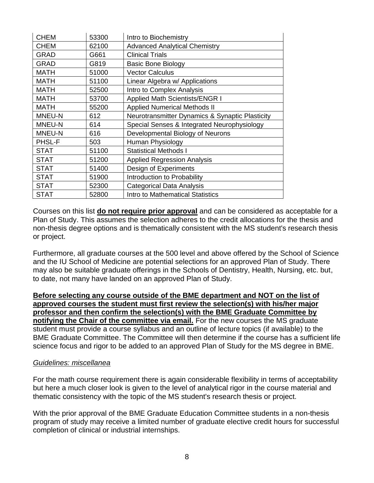| <b>CHEM</b> | 53300 | Intro to Biochemistry                           |
|-------------|-------|-------------------------------------------------|
| <b>CHEM</b> | 62100 | <b>Advanced Analytical Chemistry</b>            |
| <b>GRAD</b> | G661  | <b>Clinical Trials</b>                          |
| <b>GRAD</b> | G819  | <b>Basic Bone Biology</b>                       |
| <b>MATH</b> | 51000 | <b>Vector Calculus</b>                          |
| <b>MATH</b> | 51100 | Linear Algebra w/ Applications                  |
| <b>MATH</b> | 52500 | Intro to Complex Analysis                       |
| <b>MATH</b> | 53700 | <b>Applied Math Scientists/ENGR I</b>           |
| <b>MATH</b> | 55200 | <b>Applied Numerical Methods II</b>             |
| MNEU-N      | 612   | Neurotransmitter Dynamics & Synaptic Plasticity |
| MNEU-N      | 614   | Special Senses & Integrated Neurophysiology     |
| MNEU-N      | 616   | Developmental Biology of Neurons                |
| PHSL-F      | 503   | Human Physiology                                |
| <b>STAT</b> | 51100 | <b>Statistical Methods I</b>                    |
| <b>STAT</b> | 51200 | <b>Applied Regression Analysis</b>              |
| <b>STAT</b> | 51400 | Design of Experiments                           |
| <b>STAT</b> | 51900 | Introduction to Probability                     |
| <b>STAT</b> | 52300 | <b>Categorical Data Analysis</b>                |
| <b>STAT</b> | 52800 | <b>Intro to Mathematical Statistics</b>         |

Courses on this list **do not require prior approval** and can be considered as acceptable for a Plan of Study. This assumes the selection adheres to the credit allocations for the thesis and non-thesis degree options and is thematically consistent with the MS student's research thesis or project.

Furthermore, all graduate courses at the 500 level and above offered by the School of Science and the IU School of Medicine are potential selections for an approved Plan of Study. There may also be suitable graduate offerings in the Schools of Dentistry, Health, Nursing, etc. but, to date, not many have landed on an approved Plan of Study.

**Before selecting any course outside of the BME department and NOT on the list of approved courses the student must first review the selection(s) with his/her major professor and then confirm the selection(s) with the BME Graduate Committee by notifying the Chair of the committee via email.** For the new courses the MS graduate student must provide a course syllabus and an outline of lecture topics (if available) to the BME Graduate Committee. The Committee will then determine if the course has a sufficient life science focus and rigor to be added to an approved Plan of Study for the MS degree in BME.

#### *Guidelines: miscellanea*

For the math course requirement there is again considerable flexibility in terms of acceptability but here a much closer look is given to the level of analytical rigor in the course material and thematic consistency with the topic of the MS student's research thesis or project.

With the prior approval of the BME Graduate Education Committee students in a non-thesis program of study may receive a limited number of graduate elective credit hours for successful completion of clinical or industrial internships.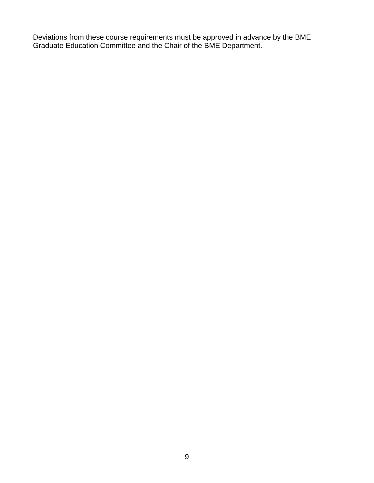Deviations from these course requirements must be approved in advance by the BME Graduate Education Committee and the Chair of the BME Department.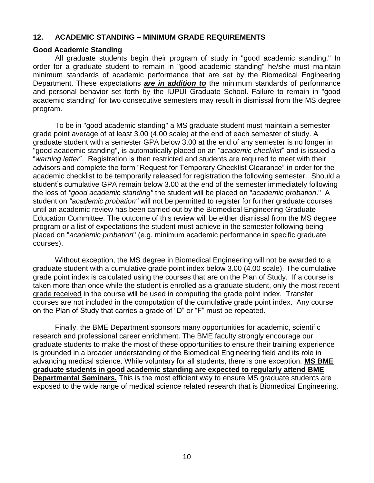#### **12. ACADEMIC STANDING – MINIMUM GRADE REQUIREMENTS**

#### **Good Academic Standing**

All graduate students begin their program of study in "good academic standing." In order for a graduate student to remain in "good academic standing" he/she must maintain minimum standards of academic performance that are set by the Biomedical Engineering Department. These expectations *are in addition to* the minimum standards of performance and personal behavior set forth by the IUPUI Graduate School. Failure to remain in "good academic standing" for two consecutive semesters may result in dismissal from the MS degree program.

To be in "good academic standing" a MS graduate student must maintain a semester grade point average of at least 3.00 (4.00 scale) at the end of each semester of study. A graduate student with a semester GPA below 3.00 at the end of any semester is no longer in "good academic standing", is automatically placed on an "*academic checklist*" and is issued a "*warning letter*". Registration is then restricted and students are required to meet with their advisors and complete the form "Request for Temporary Checklist Clearance" in order for the academic checklist to be temporarily released for registration the following semester. Should a student's cumulative GPA remain below 3.00 at the end of the semester immediately following the loss of *"good academic standing"* the student will be placed on "*academic probation*." A student on *"academic probation"* will not be permitted to register for further graduate courses until an academic review has been carried out by the Biomedical Engineering Graduate Education Committee. The outcome of this review will be either dismissal from the MS degree program or a list of expectations the student must achieve in the semester following being placed on "*academic probation*" (e.g. minimum academic performance in specific graduate courses).

Without exception, the MS degree in Biomedical Engineering will not be awarded to a graduate student with a cumulative grade point index below 3.00 (4.00 scale). The cumulative grade point index is calculated using the courses that are on the Plan of Study. If a course is taken more than once while the student is enrolled as a graduate student, only the most recent grade received in the course will be used in computing the grade point index. Transfer courses are not included in the computation of the cumulative grade point index. Any course on the Plan of Study that carries a grade of "D" or "F" must be repeated.

Finally, the BME Department sponsors many opportunities for academic, scientific research and professional career enrichment. The BME faculty strongly encourage our graduate students to make the most of these opportunities to ensure their training experience is grounded in a broader understanding of the Biomedical Engineering field and its role in advancing medical science. While voluntary for all students, there is one exception. **MS BME graduate students in good academic standing are expected to regularly attend BME Departmental Seminars.** This is the most efficient way to ensure MS graduate students are exposed to the wide range of medical science related research that is Biomedical Engineering.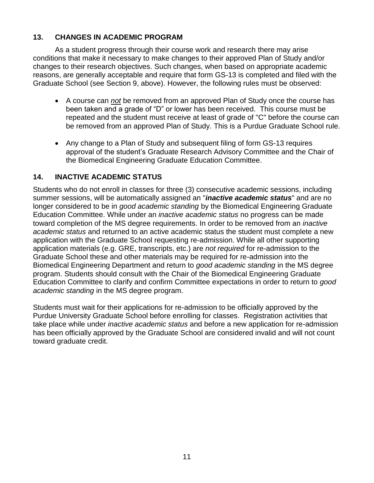#### **13. CHANGES IN ACADEMIC PROGRAM**

As a student progress through their course work and research there may arise conditions that make it necessary to make changes to their approved Plan of Study and/or changes to their research objectives. Such changes, when based on appropriate academic reasons, are generally acceptable and require that form GS-13 is completed and filed with the Graduate School (see Section 9, above). However, the following rules must be observed:

- A course can *not* be removed from an approved Plan of Study once the course has been taken and a grade of "D" or lower has been received. This course must be repeated and the student must receive at least of grade of "C" before the course can be removed from an approved Plan of Study. This is a Purdue Graduate School rule.
- Any change to a Plan of Study and subsequent filing of form GS-13 requires approval of the student's Graduate Research Advisory Committee and the Chair of the Biomedical Engineering Graduate Education Committee.

#### **14. INACTIVE ACADEMIC STATUS**

Students who do not enroll in classes for three (3) consecutive academic sessions, including summer sessions, will be automatically assigned an "*inactive academic status*" and are no longer considered to be in *good academic standing* by the Biomedical Engineering Graduate Education Committee. While under an *inactive academic status* no progress can be made toward completion of the MS degree requirements. In order to be removed from an *inactive academic status* and returned to an active academic status the student must complete a new application with the Graduate School requesting re-admission. While all other supporting application materials (e.g. GRE, transcripts, etc.) are *not required* for re-admission to the Graduate School these and other materials may be required for re-admission into the Biomedical Engineering Department and return to *good academic standing* in the MS degree program. Students should consult with the Chair of the Biomedical Engineering Graduate Education Committee to clarify and confirm Committee expectations in order to return to *good academic standing* in the MS degree program.

Students must wait for their applications for re-admission to be officially approved by the Purdue University Graduate School before enrolling for classes. Registration activities that take place while under *inactive academic status* and before a new application for re-admission has been officially approved by the Graduate School are considered invalid and will not count toward graduate credit.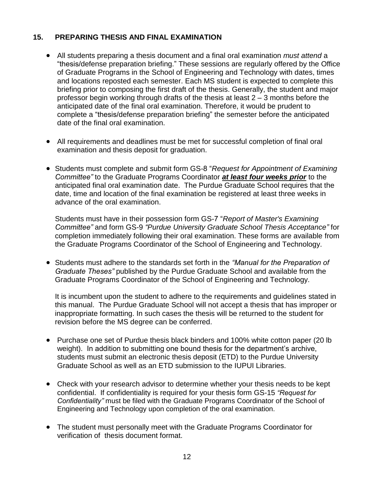#### **15. PREPARING THESIS AND FINAL EXAMINATION**

- All students preparing a thesis document and a final oral examination *must attend* a "thesis/defense preparation briefing." These sessions are regularly offered by the Office of Graduate Programs in the School of Engineering and Technology with dates, times and locations reposted each semester. Each MS student is expected to complete this briefing prior to composing the first draft of the thesis. Generally, the student and major professor begin working through drafts of the thesis at least 2 – 3 months before the anticipated date of the final oral examination. Therefore, it would be prudent to complete a "thesis/defense preparation briefing" the semester before the anticipated date of the final oral examination.
- All requirements and deadlines must be met for successful completion of final oral examination and thesis deposit for graduation.
- Students must complete and submit form GS-8 "*Request for Appointment of Examining Committee"* to the Graduate Programs Coordinator *at least four weeks prior* to the anticipated final oral examination date. The Purdue Graduate School requires that the date, time and location of the final examination be registered at least three weeks in advance of the oral examination.

Students must have in their possession form GS-7 "*Report of Master's Examining Committee"* and form GS-9 *"Purdue University Graduate School Thesis Acceptance"* for completion immediately following their oral examination. These forms are available from the Graduate Programs Coordinator of the School of Engineering and Technology.

 Students must adhere to the standards set forth in the *"Manual for the Preparation of Graduate Theses"* published by the Purdue Graduate School and available from the Graduate Programs Coordinator of the School of Engineering and Technology.

It is incumbent upon the student to adhere to the requirements and guidelines stated in this manual. The Purdue Graduate School will not accept a thesis that has improper or inappropriate formatting. In such cases the thesis will be returned to the student for revision before the MS degree can be conferred.

- Purchase one set of Purdue thesis black binders and 100% white cotton paper (20 lb weight). In addition to submitting one bound thesis for the department's archive, students must submit an electronic thesis deposit (ETD) to the Purdue University Graduate School as well as an ETD submission to the IUPUI Libraries.
- Check with your research advisor to determine whether your thesis needs to be kept confidential. If confidentiality is required for your thesis form GS-15 *"Request for Confidentiality"* must be filed with the Graduate Programs Coordinator of the School of Engineering and Technology upon completion of the oral examination.
- The student must personally meet with the Graduate Programs Coordinator for verification of thesis document format.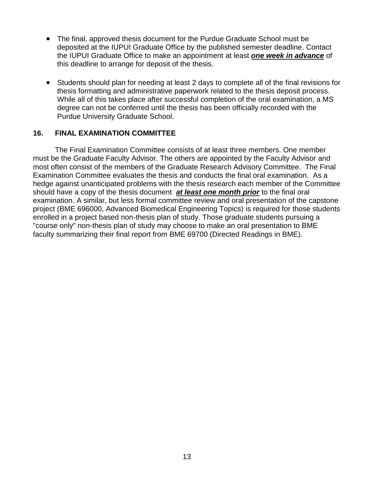- The final, approved thesis document for the Purdue Graduate School must be deposited at the IUPUI Graduate Office by the published semester deadline. Contact the IUPUI Graduate Office to make an appointment at least *one week in advance* of this deadline to arrange for deposit of the thesis.
- Students should plan for needing at least 2 days to complete all of the final revisions for thesis formatting and administrative paperwork related to the thesis deposit process. While all of this takes place after successful completion of the oral examination, a MS degree can not be conferred until the thesis has been officially recorded with the Purdue University Graduate School.

#### **16. FINAL EXAMINATION COMMITTEE**

The Final Examination Committee consists of at least three members. One member must be the Graduate Faculty Advisor. The others are appointed by the Faculty Advisor and most often consist of the members of the Graduate Research Advisory Committee. The Final Examination Committee evaluates the thesis and conducts the final oral examination. As a hedge against unanticipated problems with the thesis research each member of the Committee should have a copy of the thesis document *at least one month prior* to the final oral examination. A similar, but less formal committee review and oral presentation of the capstone project (BME 696000, Advanced Biomedical Engineering Topics) is required for those students enrolled in a project based non-thesis plan of study. Those graduate students pursuing a "course only" non-thesis plan of study may choose to make an oral presentation to BME faculty summarizing their final report from BME 69700 (Directed Readings in BME).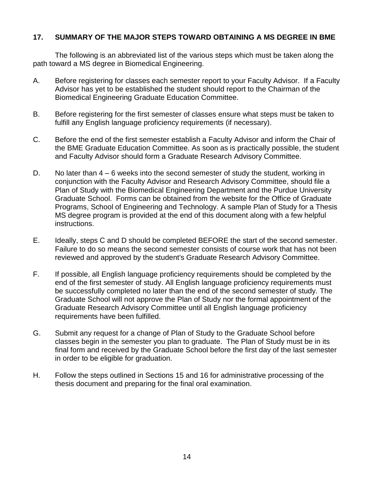#### **17. SUMMARY OF THE MAJOR STEPS TOWARD OBTAINING A MS DEGREE IN BME**

The following is an abbreviated list of the various steps which must be taken along the path toward a MS degree in Biomedical Engineering.

- A. Before registering for classes each semester report to your Faculty Advisor. If a Faculty Advisor has yet to be established the student should report to the Chairman of the Biomedical Engineering Graduate Education Committee.
- B. Before registering for the first semester of classes ensure what steps must be taken to fulfill any English language proficiency requirements (if necessary).
- C. Before the end of the first semester establish a Faculty Advisor and inform the Chair of the BME Graduate Education Committee. As soon as is practically possible, the student and Faculty Advisor should form a Graduate Research Advisory Committee.
- D. No later than  $4 6$  weeks into the second semester of study the student, working in conjunction with the Faculty Advisor and Research Advisory Committee, should file a Plan of Study with the Biomedical Engineering Department and the Purdue University Graduate School. Forms can be obtained from the website for the Office of Graduate Programs, School of Engineering and Technology. A sample Plan of Study for a Thesis MS degree program is provided at the end of this document along with a few helpful instructions.
- E. Ideally, steps C and D should be completed BEFORE the start of the second semester. Failure to do so means the second semester consists of course work that has not been reviewed and approved by the student's Graduate Research Advisory Committee.
- F. If possible, all English language proficiency requirements should be completed by the end of the first semester of study. All English language proficiency requirements must be successfully completed no later than the end of the second semester of study. The Graduate School will not approve the Plan of Study nor the formal appointment of the Graduate Research Advisory Committee until all English language proficiency requirements have been fulfilled.
- G. Submit any request for a change of Plan of Study to the Graduate School before classes begin in the semester you plan to graduate. The Plan of Study must be in its final form and received by the Graduate School before the first day of the last semester in order to be eligible for graduation.
- H. Follow the steps outlined in Sections 15 and 16 for administrative processing of the thesis document and preparing for the final oral examination.